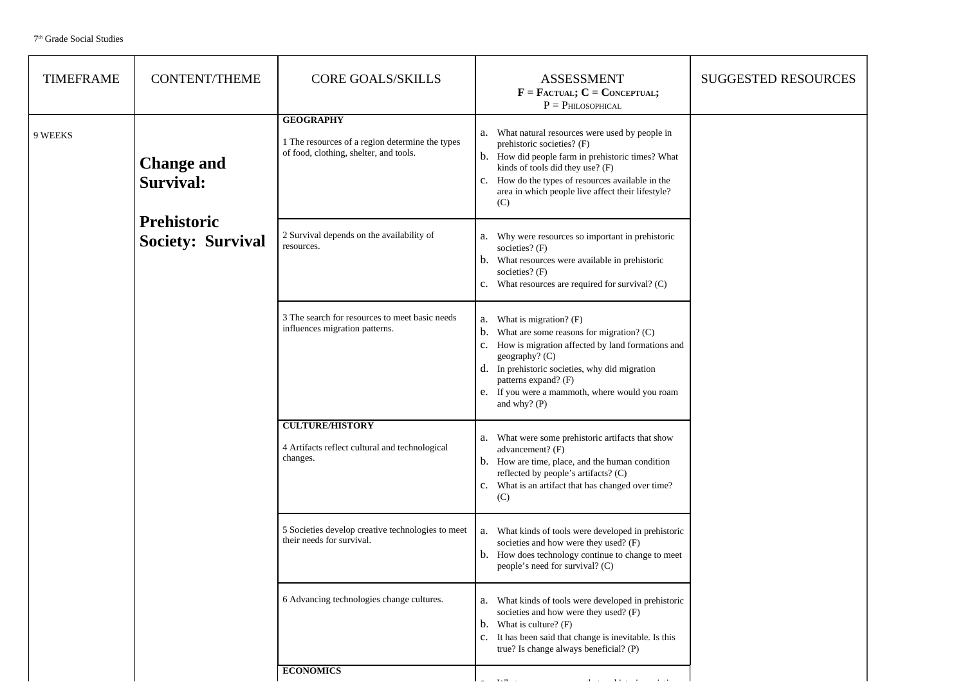| <b>TIMEFRAME</b> | <b>CONTENT/THEME</b>                           | <b>CORE GOALS/SKILLS</b>                                                                                      | <b>ASSESSMENT</b><br>$F = F_{\text{ACTUAL}}$ ; $C = \text{Conceptual}}$ ;<br>$P = PHILOSOPHICAL$                                                                                                                                                                                                                  | <b>SUGGESTED RESOURCES</b> |
|------------------|------------------------------------------------|---------------------------------------------------------------------------------------------------------------|-------------------------------------------------------------------------------------------------------------------------------------------------------------------------------------------------------------------------------------------------------------------------------------------------------------------|----------------------------|
| 9 WEEKS          | <b>Change and</b><br>Survival:                 | <b>GEOGRAPHY</b><br>1 The resources of a region determine the types<br>of food, clothing, shelter, and tools. | What natural resources were used by people in<br>a.<br>prehistoric societies? (F)<br>b. How did people farm in prehistoric times? What<br>kinds of tools did they use? (F)<br>c. How do the types of resources available in the<br>area in which people live affect their lifestyle?<br>(C)                       |                            |
|                  | <b>Prehistoric</b><br><b>Society: Survival</b> | 2 Survival depends on the availability of<br>resources.                                                       | Why were resources so important in prehistoric<br>а.<br>societies? $(F)$<br>What resources were available in prehistoric<br>b.<br>societies? (F)<br>What resources are required for survival? (C)<br>c.                                                                                                           |                            |
|                  |                                                | 3 The search for resources to meet basic needs<br>influences migration patterns.                              | What is migration? (F)<br>a.<br>What are some reasons for migration? (C)<br>b.<br>How is migration affected by land formations and<br>$c_{\cdot}$<br>geography? (C)<br>d. In prehistoric societies, why did migration<br>patterns expand? (F)<br>e. If you were a mammoth, where would you roam<br>and why? $(P)$ |                            |
|                  |                                                | <b>CULTURE/HISTORY</b><br>4 Artifacts reflect cultural and technological<br>changes.                          | What were some prehistoric artifacts that show<br>а.<br>advancement? (F)<br>b. How are time, place, and the human condition<br>reflected by people's artifacts? $(C)$<br>c. What is an artifact that has changed over time?<br>(C)                                                                                |                            |
|                  |                                                | 5 Societies develop creative technologies to meet<br>their needs for survival.                                | What kinds of tools were developed in prehistoric<br>a.<br>societies and how were they used? (F)<br>b. How does technology continue to change to meet<br>people's need for survival? (C)                                                                                                                          |                            |
|                  |                                                | 6 Advancing technologies change cultures.                                                                     | What kinds of tools were developed in prehistoric<br>а.<br>societies and how were they used? (F)<br>What is culture? $(F)$<br>b.<br>It has been said that change is inevitable. Is this<br>$c_{\cdot}$<br>true? Is change always beneficial? (P)                                                                  |                            |
|                  |                                                | <b>ECONOMICS</b>                                                                                              |                                                                                                                                                                                                                                                                                                                   |                            |

a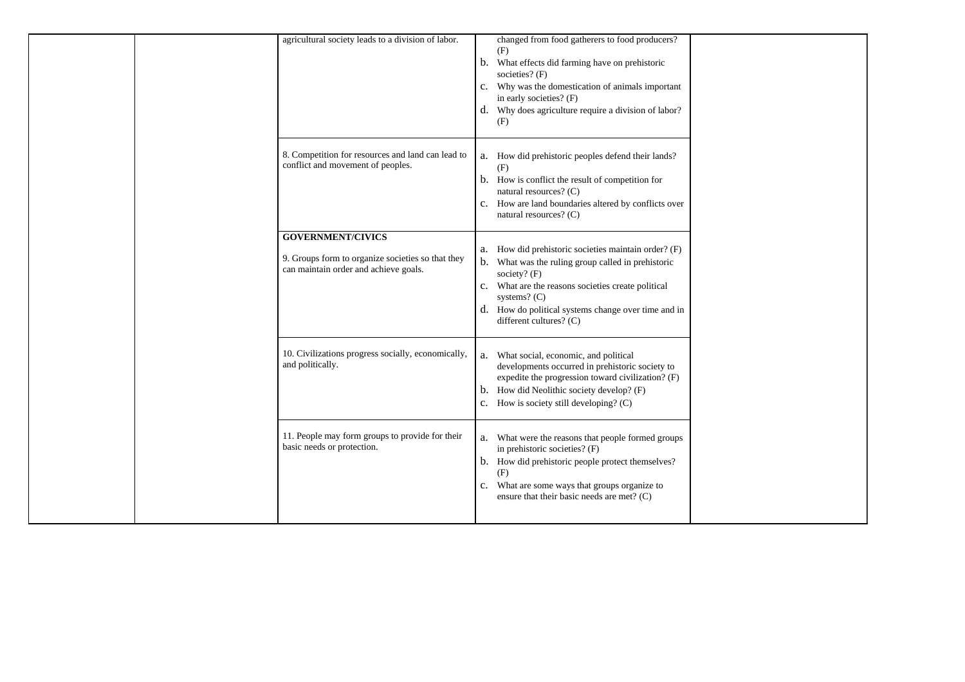| agricultural society leads to a division of labor.                                                                     | changed from food gatherers to food producers?<br>(F)<br>What effects did farming have on prehistoric<br>b.<br>societies? (F)<br>Why was the domestication of animals important<br>$\mathbf{c}$ .<br>in early societies? (F)<br>d. Why does agriculture require a division of labor?<br>(F)            |  |
|------------------------------------------------------------------------------------------------------------------------|--------------------------------------------------------------------------------------------------------------------------------------------------------------------------------------------------------------------------------------------------------------------------------------------------------|--|
| 8. Competition for resources and land can lead to<br>conflict and movement of peoples.                                 | How did prehistoric peoples defend their lands?<br>a.<br>(F)<br>b. How is conflict the result of competition for<br>natural resources? (C)<br>c. How are land boundaries altered by conflicts over<br>natural resources? (C)                                                                           |  |
| <b>GOVERNMENT/CIVICS</b><br>9. Groups form to organize societies so that they<br>can maintain order and achieve goals. | How did prehistoric societies maintain order? (F)<br>a.<br>What was the ruling group called in prehistoric<br>b.<br>society? (F)<br>What are the reasons societies create political<br>$c_{\cdot}$<br>systems? $(C)$<br>d. How do political systems change over time and in<br>different cultures? (C) |  |
| 10. Civilizations progress socially, economically,<br>and politically.                                                 | What social, economic, and political<br>a.<br>developments occurred in prehistoric society to<br>expedite the progression toward civilization? (F)<br>b. How did Neolithic society develop? (F)<br>How is society still developing? (C)<br>$c_{\cdot}$                                                 |  |
| 11. People may form groups to provide for their<br>basic needs or protection.                                          | What were the reasons that people formed groups<br>a.<br>in prehistoric societies? (F)<br>b. How did prehistoric people protect themselves?<br>(F)<br>c. What are some ways that groups organize to<br>ensure that their basic needs are met? (C)                                                      |  |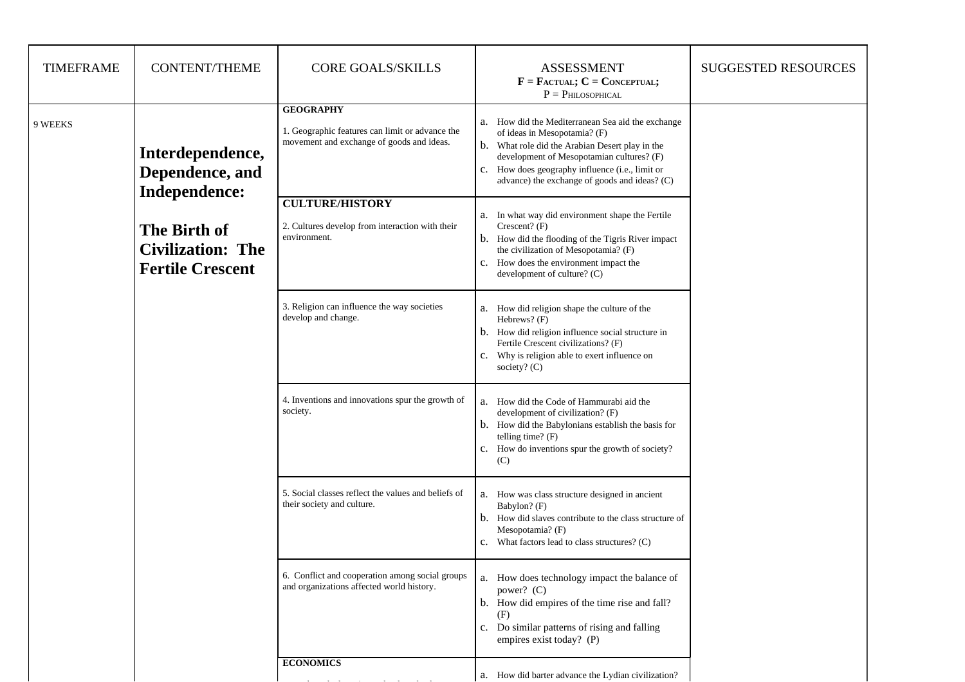| <b>TIMEFRAME</b> | <b>CONTENT/THEME</b>                                                | <b>CORE GOALS/SKILLS</b>                                                                                         | <b>ASSESSMENT</b><br>$F = F_{\text{ACTUAL}}$ ; $C = \text{Conceptual}$ ;<br>$P = P$ HILOSOPHICAL                                                                                                                                                                                                     | <b>SUGGESTED RESOURCES</b> |
|------------------|---------------------------------------------------------------------|------------------------------------------------------------------------------------------------------------------|------------------------------------------------------------------------------------------------------------------------------------------------------------------------------------------------------------------------------------------------------------------------------------------------------|----------------------------|
| 9 WEEKS          | Interdependence,<br>Dependence, and<br>Independence:                | <b>GEOGRAPHY</b><br>1. Geographic features can limit or advance the<br>movement and exchange of goods and ideas. | a. How did the Mediterranean Sea aid the exchange<br>of ideas in Mesopotamia? (F)<br>b. What role did the Arabian Desert play in the<br>development of Mesopotamian cultures? (F)<br>How does geography influence (i.e., limit or<br>$\mathbf{c}$ .<br>advance) the exchange of goods and ideas? (C) |                            |
|                  | The Birth of<br><b>Civilization: The</b><br><b>Fertile Crescent</b> | <b>CULTURE/HISTORY</b><br>2. Cultures develop from interaction with their<br>environment.                        | In what way did environment shape the Fertile<br>a.<br>Crescent? $(F)$<br>How did the flooding of the Tigris River impact<br>b.<br>the civilization of Mesopotamia? (F)<br>How does the environment impact the<br>$\mathbf{c}$ .<br>development of culture? (C)                                      |                            |
|                  |                                                                     | 3. Religion can influence the way societies<br>develop and change.                                               | a. How did religion shape the culture of the<br>Hebrews? (F)<br>How did religion influence social structure in<br>b.<br>Fertile Crescent civilizations? (F)<br>Why is religion able to exert influence on<br>$\mathbf{C}$ .<br>society? $(C)$                                                        |                            |
|                  |                                                                     | 4. Inventions and innovations spur the growth of<br>society.                                                     | How did the Code of Hammurabi aid the<br>a.<br>development of civilization? (F)<br>How did the Babylonians establish the basis for<br>b.<br>telling time? $(F)$<br>c. How do inventions spur the growth of society?<br>(C)                                                                           |                            |
|                  |                                                                     | 5. Social classes reflect the values and beliefs of<br>their society and culture.                                | a. How was class structure designed in ancient<br>Babylon? (F)<br>How did slaves contribute to the class structure of<br>$\mathbf{b}$ .<br>Mesopotamia? (F)<br>What factors lead to class structures? (C)<br>$\mathbf{c}$ .                                                                          |                            |
|                  |                                                                     | 6. Conflict and cooperation among social groups<br>and organizations affected world history.                     | a. How does technology impact the balance of<br>power? (C)<br>b. How did empires of the time rise and fall?<br>(F)<br>Do similar patterns of rising and falling<br>c.<br>empires exist today? (P)                                                                                                    |                            |
|                  |                                                                     | <b>ECONOMICS</b>                                                                                                 | a. How did barter advance the Lydian civilization?                                                                                                                                                                                                                                                   |                            |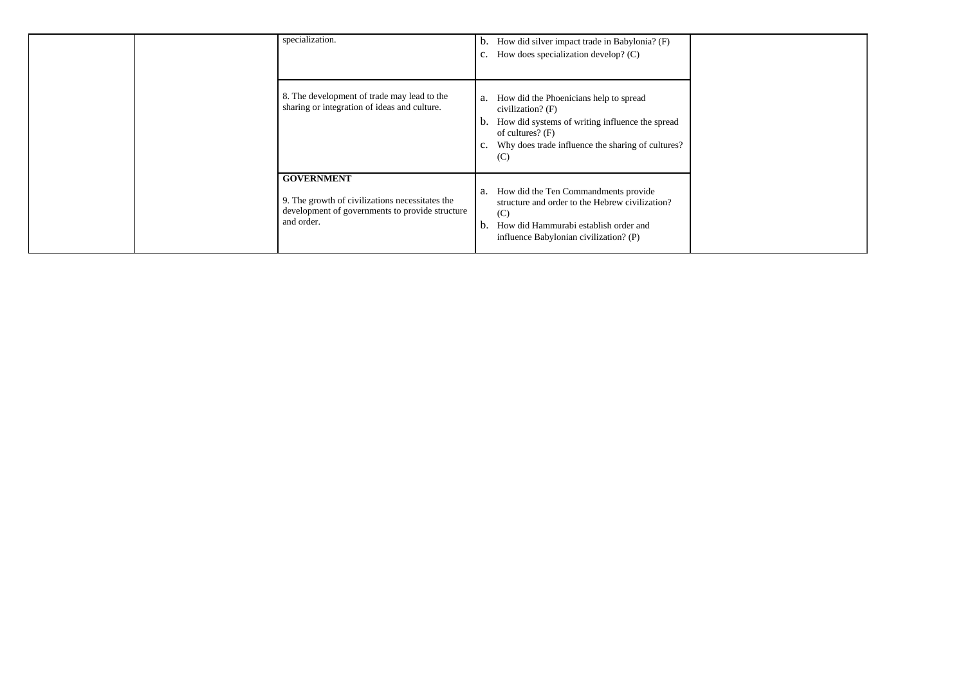| specialization.                                                                                                                       | How did silver impact trade in Babylonia? (F)<br>$\mathfrak{b}.$<br>How does specialization develop? (C)<br>$\mathbf{c}$ .                                                                                                  |  |
|---------------------------------------------------------------------------------------------------------------------------------------|-----------------------------------------------------------------------------------------------------------------------------------------------------------------------------------------------------------------------------|--|
| 8. The development of trade may lead to the<br>sharing or integration of ideas and culture.                                           | How did the Phoenicians help to spread<br>a.<br>civilization? $(F)$<br>How did systems of writing influence the spread<br>$\mathfrak{b}.$<br>of cultures? $(F)$<br>Why does trade influence the sharing of cultures?<br>(C) |  |
| <b>GOVERNMENT</b><br>9. The growth of civilizations necessitates the<br>development of governments to provide structure<br>and order. | How did the Ten Commandments provide<br>a.<br>structure and order to the Hebrew civilization?<br>(C)<br>How did Hammurabi establish order and<br>$\mathfrak{b}.$<br>influence Babylonian civilization? (P)                  |  |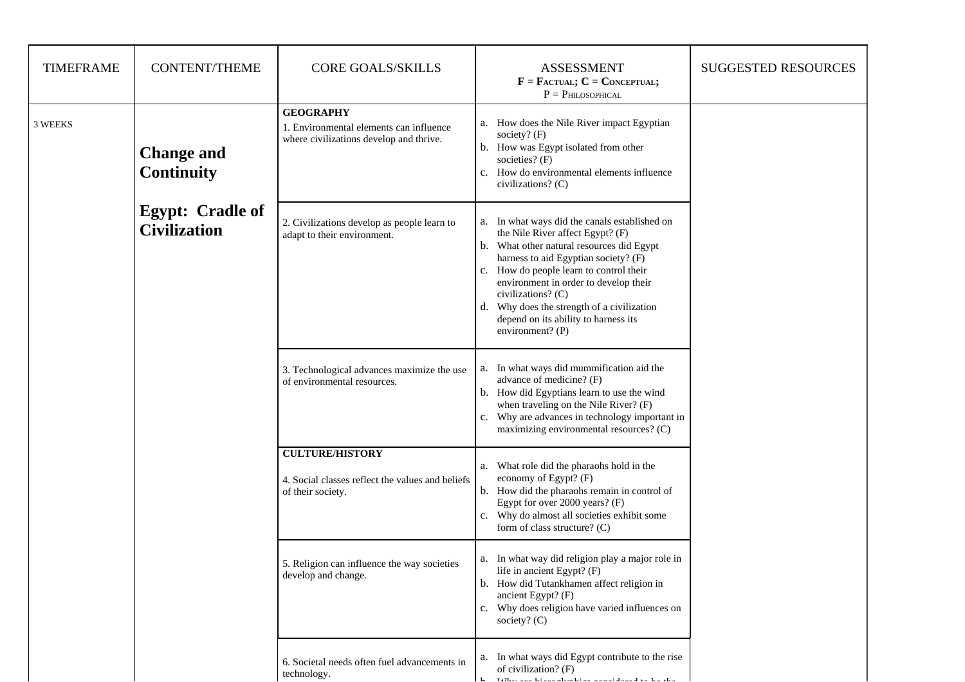| <b>TIMEFRAME</b> | <b>CONTENT/THEME</b>                           | <b>CORE GOALS/SKILLS</b>                                                                               | <b>ASSESSMENT</b><br>$F =$ FACTUAL; $C =$ CONCEPTUAL;<br>$P = P$ HILOSOPHICAL                                                                                                                                                                                                                                                                                                                 | <b>SUGGESTED RESOURCES</b> |
|------------------|------------------------------------------------|--------------------------------------------------------------------------------------------------------|-----------------------------------------------------------------------------------------------------------------------------------------------------------------------------------------------------------------------------------------------------------------------------------------------------------------------------------------------------------------------------------------------|----------------------------|
| 3 WEEKS          | <b>Change and</b><br><b>Continuity</b>         | <b>GEOGRAPHY</b><br>1. Environmental elements can influence<br>where civilizations develop and thrive. | a. How does the Nile River impact Egyptian<br>society? $(F)$<br>b. How was Egypt isolated from other<br>societies? $(F)$<br>How do environmental elements influence<br>$C_{\bullet}$<br>civilizations? (C)                                                                                                                                                                                    |                            |
|                  | <b>Egypt: Cradle of</b><br><b>Civilization</b> | 2. Civilizations develop as people learn to<br>adapt to their environment.                             | a. In what ways did the canals established on<br>the Nile River affect Egypt? (F)<br>b. What other natural resources did Egypt<br>harness to aid Egyptian society? (F)<br>c. How do people learn to control their<br>environment in order to develop their<br>civilizations? (C)<br>Why does the strength of a civilization<br>d.<br>depend on its ability to harness its<br>environment? (P) |                            |
|                  |                                                | 3. Technological advances maximize the use<br>of environmental resources.                              | a. In what ways did mummification aid the<br>advance of medicine? (F)<br>b. How did Egyptians learn to use the wind<br>when traveling on the Nile River? (F)<br>Why are advances in technology important in<br>$C_{\bullet}$<br>maximizing environmental resources? (C)                                                                                                                       |                            |
|                  |                                                | <b>CULTURE/HISTORY</b><br>4. Social classes reflect the values and beliefs<br>of their society.        | a. What role did the pharaohs hold in the<br>economy of Egypt? $(F)$<br>b. How did the pharaohs remain in control of<br>Egypt for over 2000 years? (F)<br>c. Why do almost all societies exhibit some<br>form of class structure? (C)                                                                                                                                                         |                            |
|                  |                                                | 5. Religion can influence the way societies<br>develop and change.                                     | a. In what way did religion play a major role in<br>life in ancient Egypt? (F)<br>b. How did Tutankhamen affect religion in<br>ancient Egypt? (F)<br>c. Why does religion have varied influences on<br>society? $(C)$                                                                                                                                                                         |                            |
|                  |                                                | 6. Societal needs often fuel advancements in<br>technology.                                            | a. In what ways did Egypt contribute to the rise<br>of civilization? (F)<br>Why are biancoloration against that the                                                                                                                                                                                                                                                                           |                            |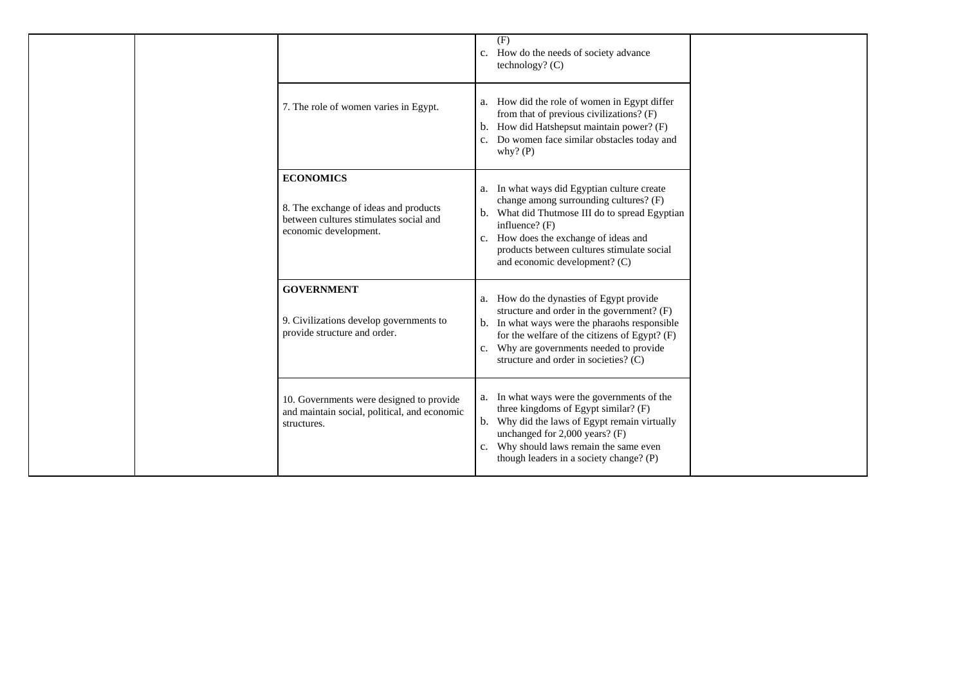|                                                                                                                              | (F)<br>How do the needs of society advance<br>c.<br>technology? $(C)$                                                                                                                                                                                                                                        |  |
|------------------------------------------------------------------------------------------------------------------------------|--------------------------------------------------------------------------------------------------------------------------------------------------------------------------------------------------------------------------------------------------------------------------------------------------------------|--|
| 7. The role of women varies in Egypt.                                                                                        | How did the role of women in Egypt differ<br>a.<br>from that of previous civilizations? (F)<br>How did Hatshepsut maintain power? (F)<br>b.<br>Do women face similar obstacles today and<br>$C_{\bullet}$<br>why? $(P)$                                                                                      |  |
| <b>ECONOMICS</b><br>8. The exchange of ideas and products<br>between cultures stimulates social and<br>economic development. | In what ways did Egyptian culture create<br>a.<br>change among surrounding cultures? (F)<br>What did Thutmose III do to spread Egyptian<br>b.<br>influence? (F)<br>How does the exchange of ideas and<br>c.<br>products between cultures stimulate social<br>and economic development? (C)                   |  |
| <b>GOVERNMENT</b><br>9. Civilizations develop governments to<br>provide structure and order.                                 | How do the dynasties of Egypt provide<br>a.<br>structure and order in the government? (F)<br>In what ways were the pharaohs responsible<br>$\mathbf b$ .<br>for the welfare of the citizens of Egypt? (F)<br>Why are governments needed to provide<br>$C_{\bullet}$<br>structure and order in societies? (C) |  |
| 10. Governments were designed to provide<br>and maintain social, political, and economic<br>structures.                      | In what ways were the governments of the<br>a.<br>three kingdoms of Egypt similar? (F)<br>Why did the laws of Egypt remain virtually<br>b.<br>unchanged for 2,000 years? (F)<br>Why should laws remain the same even<br>c.<br>though leaders in a society change? (P)                                        |  |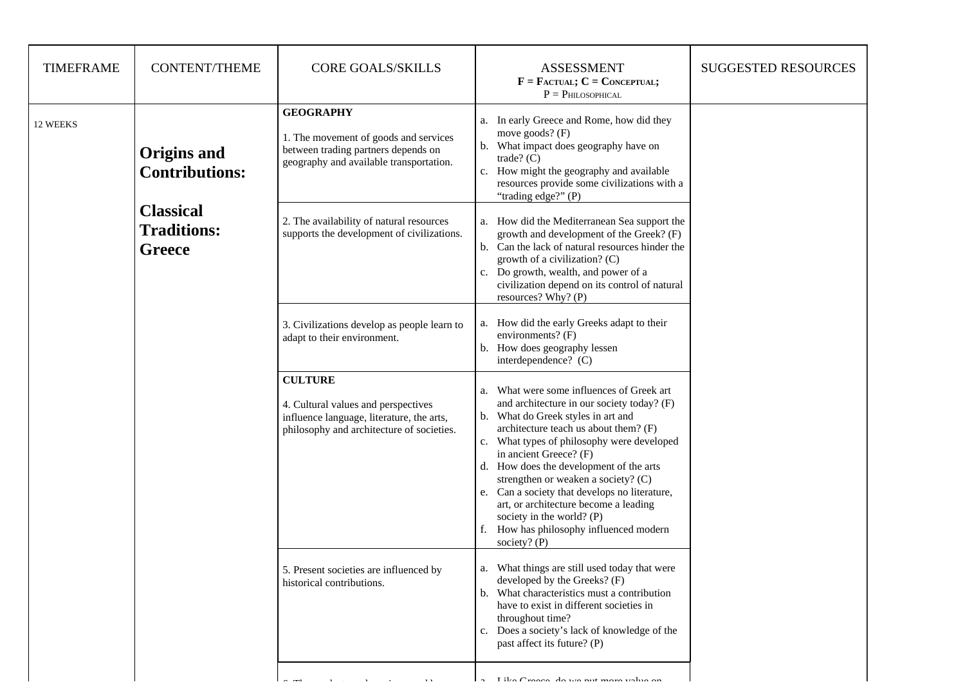| <b>TIMEFRAME</b> | <b>CONTENT/THEME</b>                                                                            | <b>CORE GOALS/SKILLS</b>                                                                                                                        | <b>ASSESSMENT</b><br>$F = F_{\text{ACTUAL}}$ ; $C = \text{Conceptual}$ ;<br>$P = P$ HILOSOPHICAL                                                                                                                                                                                                                                                                                                                                                                                                                                                        | <b>SUGGESTED RESOURCES</b> |
|------------------|-------------------------------------------------------------------------------------------------|-------------------------------------------------------------------------------------------------------------------------------------------------|---------------------------------------------------------------------------------------------------------------------------------------------------------------------------------------------------------------------------------------------------------------------------------------------------------------------------------------------------------------------------------------------------------------------------------------------------------------------------------------------------------------------------------------------------------|----------------------------|
| 12 WEEKS         | Origins and<br><b>Contributions:</b><br><b>Classical</b><br><b>Traditions:</b><br><b>Greece</b> | <b>GEOGRAPHY</b><br>1. The movement of goods and services<br>between trading partners depends on<br>geography and available transportation.     | a. In early Greece and Rome, how did they<br>move goods? $(F)$<br>b. What impact does geography have on<br>trade? $(C)$<br>How might the geography and available<br>c.<br>resources provide some civilizations with a<br>"trading edge?" (P)                                                                                                                                                                                                                                                                                                            |                            |
|                  |                                                                                                 | 2. The availability of natural resources<br>supports the development of civilizations.                                                          | a. How did the Mediterranean Sea support the<br>growth and development of the Greek? (F)<br>b. Can the lack of natural resources hinder the<br>growth of a civilization? $(C)$<br>Do growth, wealth, and power of a<br>$C_{\bullet}$<br>civilization depend on its control of natural<br>resources? Why? (P)                                                                                                                                                                                                                                            |                            |
|                  |                                                                                                 | 3. Civilizations develop as people learn to<br>adapt to their environment.                                                                      | a. How did the early Greeks adapt to their<br>environments? (F)<br>b. How does geography lessen<br>interdependence? (C)                                                                                                                                                                                                                                                                                                                                                                                                                                 |                            |
|                  |                                                                                                 | <b>CULTURE</b><br>4. Cultural values and perspectives<br>influence language, literature, the arts,<br>philosophy and architecture of societies. | What were some influences of Greek art<br>a.<br>and architecture in our society today? (F)<br>What do Greek styles in art and<br>$\mathbf{b}$ .<br>architecture teach us about them? (F)<br>What types of philosophy were developed<br>$\mathbf{C}$ .<br>in ancient Greece? (F)<br>d. How does the development of the arts<br>strengthen or weaken a society? (C)<br>Can a society that develops no literature,<br>e.<br>art, or architecture become a leading<br>society in the world? $(P)$<br>How has philosophy influenced modern<br>society? $(P)$ |                            |
|                  |                                                                                                 | 5. Present societies are influenced by<br>historical contributions.                                                                             | What things are still used today that were<br>a.<br>developed by the Greeks? (F)<br>What characteristics must a contribution<br>$\mathbf b$ .<br>have to exist in different societies in<br>throughout time?<br>Does a society's lack of knowledge of the<br>c.<br>past affect its future? (P)                                                                                                                                                                                                                                                          |                            |
|                  |                                                                                                 |                                                                                                                                                 | Like Crosse de un put more velue or                                                                                                                                                                                                                                                                                                                                                                                                                                                                                                                     |                            |